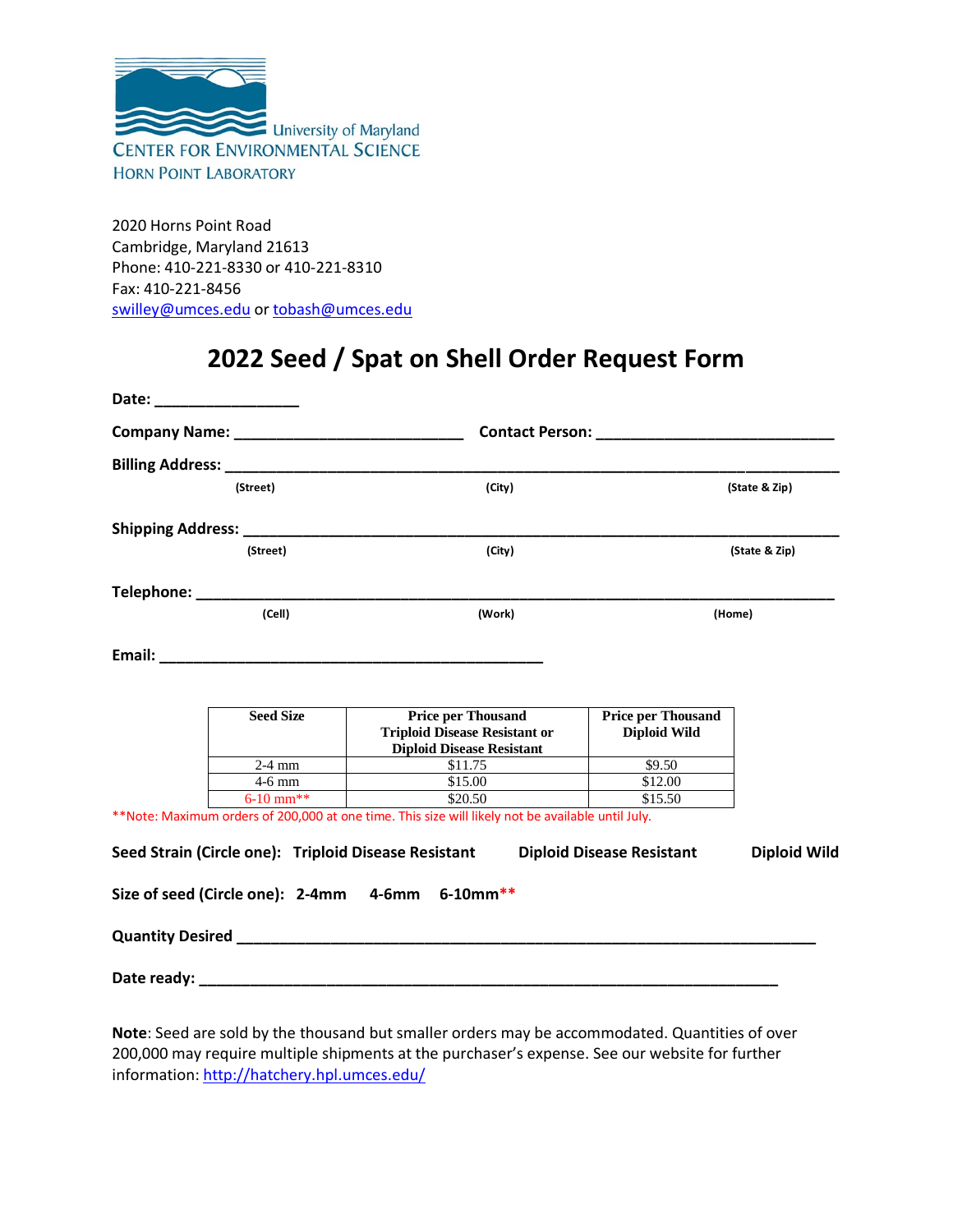

2020 Horns Point Road Cambridge, Maryland 21613 Phone: 410-221-8330 or 410-221-8310 Fax: 410-221-8456 [swilley@umces.edu](mailto:swilley@umces.edu) o[r tobash@umces.edu](mailto:tobash@umces.edu)

## **2022 Seed / Spat on Shell Order Request Form**

| Date: ___________________ |                  |                                                                                                       |                                                        |                     |  |  |
|---------------------------|------------------|-------------------------------------------------------------------------------------------------------|--------------------------------------------------------|---------------------|--|--|
|                           |                  |                                                                                                       | Contact Person: National Action of the Contact Person: |                     |  |  |
|                           |                  |                                                                                                       |                                                        |                     |  |  |
| (Street)                  |                  | (City)                                                                                                | (State & Zip)                                          |                     |  |  |
|                           |                  |                                                                                                       |                                                        |                     |  |  |
| (Street)                  |                  | (City)                                                                                                | (State & Zip)                                          |                     |  |  |
|                           |                  |                                                                                                       |                                                        |                     |  |  |
|                           | (Cell)           | (Work)                                                                                                | (Home)                                                 |                     |  |  |
|                           |                  |                                                                                                       |                                                        |                     |  |  |
|                           |                  |                                                                                                       |                                                        |                     |  |  |
|                           | <b>Seed Size</b> | <b>Price per Thousand</b><br><b>Triploid Disease Resistant or</b><br><b>Diploid Disease Resistant</b> | <b>Price per Thousand</b><br><b>Diploid Wild</b>       |                     |  |  |
|                           | $2-4$ mm         | \$11.75                                                                                               | $\overline{$}9.50$                                     |                     |  |  |
|                           | $4-6$ mm         | \$15.00                                                                                               | \$12.00                                                |                     |  |  |
|                           | $6-10$ mm**      | \$20.50                                                                                               | \$15.50                                                |                     |  |  |
|                           |                  | **Note: Maximum orders of 200,000 at one time. This size will likely not be available until July.     |                                                        |                     |  |  |
|                           |                  | Seed Strain (Circle one): Triploid Disease Resistant                                                  | <b>Diploid Disease Resistant</b>                       | <b>Diploid Wild</b> |  |  |
|                           |                  | Size of seed (Circle one): 2-4mm 4-6mm 6-10mm**                                                       |                                                        |                     |  |  |
|                           |                  |                                                                                                       |                                                        |                     |  |  |
|                           |                  | Date ready: Date ready:                                                                               |                                                        |                     |  |  |

**Note**: Seed are sold by the thousand but smaller orders may be accommodated. Quantities of over 200,000 may require multiple shipments at the purchaser's expense. See our website for further information[: http://hatchery.hpl.umces.edu/](http://hatchery.hpl.umces.edu/)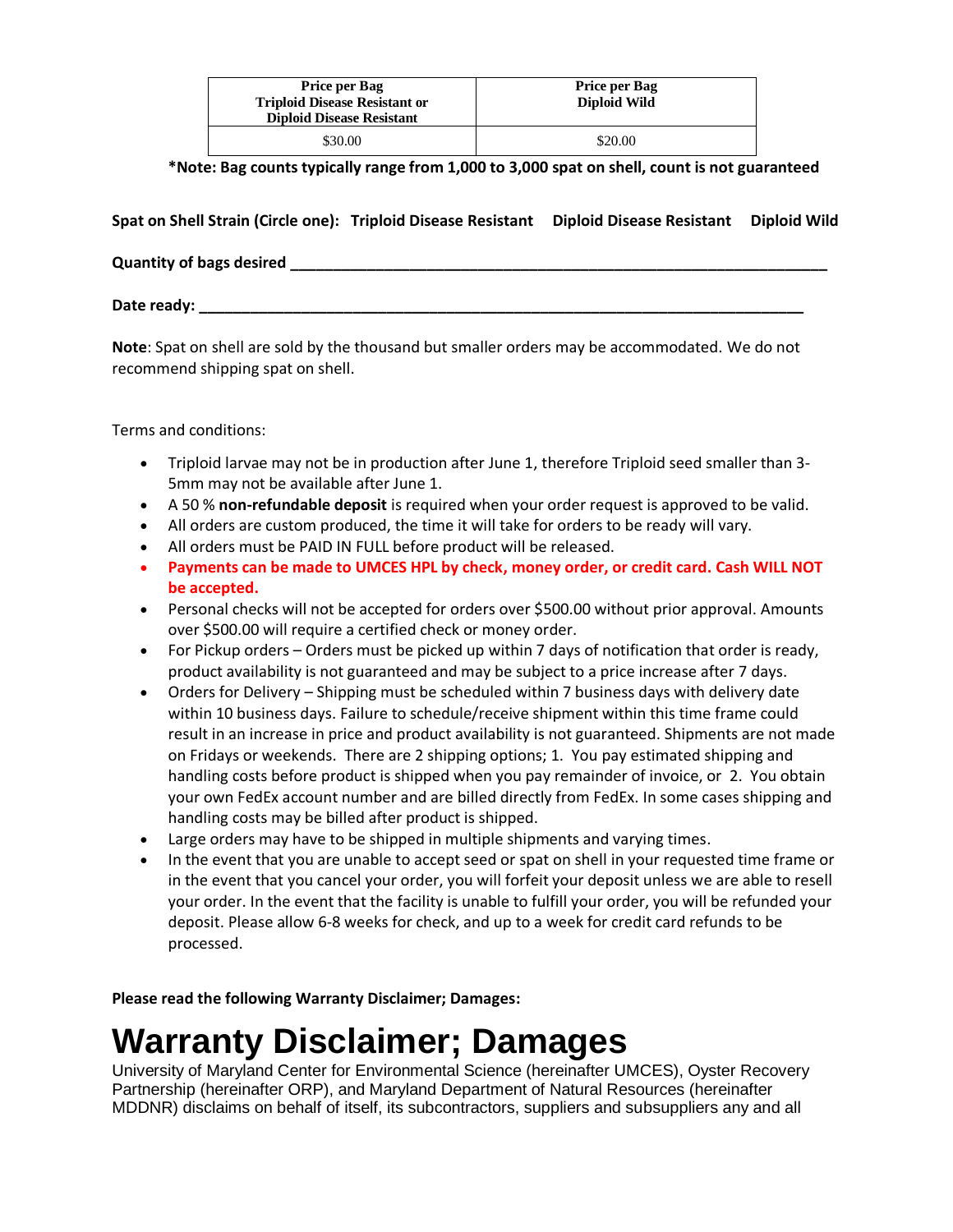| <b>Price per Bag</b><br><b>Triploid Disease Resistant or</b><br><b>Diploid Disease Resistant</b> | Price per Bag<br><b>Diploid Wild</b> |  |  |
|--------------------------------------------------------------------------------------------------|--------------------------------------|--|--|
| \$30.00                                                                                          | \$20.00                              |  |  |

**\*Note: Bag counts typically range from 1,000 to 3,000 spat on shell, count is not guaranteed** 

**Spat on Shell Strain (Circle one): Triploid Disease Resistant Diploid Disease Resistant Diploid Wild**

**Quantity of bags desired \_\_\_\_\_\_\_\_\_\_\_\_\_\_\_\_\_\_\_\_\_\_\_\_\_\_\_\_\_\_\_\_\_\_\_\_\_\_\_\_\_\_\_\_\_\_\_\_\_\_\_\_\_\_\_\_\_\_\_\_\_\_\_**

**Date ready: \_\_\_\_\_\_\_\_\_\_\_\_\_\_\_\_\_\_\_\_\_\_\_\_\_\_\_\_\_\_\_\_\_\_\_\_\_\_\_\_\_\_\_\_\_\_\_\_\_\_\_\_\_\_\_\_\_\_\_\_\_\_\_\_\_\_\_\_\_\_\_**

**Note**: Spat on shell are sold by the thousand but smaller orders may be accommodated. We do not recommend shipping spat on shell.

Terms and conditions:

- Triploid larvae may not be in production after June 1, therefore Triploid seed smaller than 3- 5mm may not be available after June 1.
- A 50 % **non-refundable deposit** is required when your order request is approved to be valid.
- All orders are custom produced, the time it will take for orders to be ready will vary.
- All orders must be PAID IN FULL before product will be released.
- **Payments can be made to UMCES HPL by check, money order, or credit card. Cash WILL NOT be accepted.**
- Personal checks will not be accepted for orders over \$500.00 without prior approval. Amounts over \$500.00 will require a certified check or money order.
- For Pickup orders Orders must be picked up within 7 days of notification that order is ready, product availability is not guaranteed and may be subject to a price increase after 7 days.
- Orders for Delivery Shipping must be scheduled within 7 business days with delivery date within 10 business days. Failure to schedule/receive shipment within this time frame could result in an increase in price and product availability is not guaranteed. Shipments are not made on Fridays or weekends. There are 2 shipping options; 1. You pay estimated shipping and handling costs before product is shipped when you pay remainder of invoice, or 2. You obtain your own FedEx account number and are billed directly from FedEx. In some cases shipping and handling costs may be billed after product is shipped.
- Large orders may have to be shipped in multiple shipments and varying times.
- In the event that you are unable to accept seed or spat on shell in your requested time frame or in the event that you cancel your order, you will forfeit your deposit unless we are able to resell your order. In the event that the facility is unable to fulfill your order, you will be refunded your deposit. Please allow 6-8 weeks for check, and up to a week for credit card refunds to be processed.

**Please read the following Warranty Disclaimer; Damages:**

## **Warranty Disclaimer; Damages**

University of Maryland Center for Environmental Science (hereinafter UMCES), Oyster Recovery Partnership (hereinafter ORP), and Maryland Department of Natural Resources (hereinafter MDDNR) disclaims on behalf of itself, its subcontractors, suppliers and subsuppliers any and all